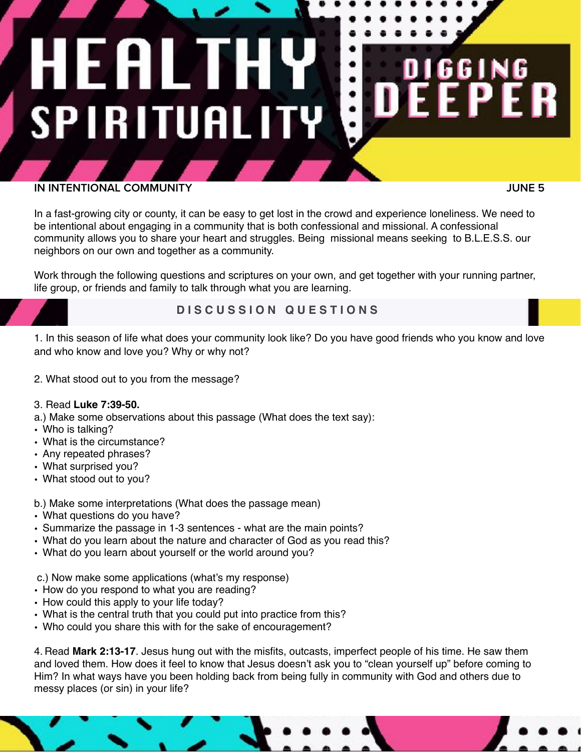# HEALT H. **SPIRITUALITY**

### **IN INTENTIONAL COMMUNITY**

 **JUNE 5**

61

In a fast-growing city or county, it can be easy to get lost in the crowd and experience loneliness. We need to be intentional about engaging in a community that is both confessional and missional. A confessional community allows you to share your heart and struggles. Being missional means seeking to B.L.E.S.S. our neighbors on our own and together as a community.

Work through the following questions and scriptures on your own, and get together with your running partner, life group, or friends and family to talk through what you are learning.

## **D I S C U S S I O N Q U E S T I O N S**

1. In this season of life what does your community look like? Do you have good friends who you know and love and who know and love you? Why or why not?

- 2. What stood out to you from the message?
- 3. Read **Luke 7:39-50.**
- a.) Make some observations about this passage (What does the text say):
- Who is talking?
- What is the circumstance?
- Any repeated phrases?
- What surprised you?
- What stood out to you?

### b.) Make some interpretations (What does the passage mean)

- What questions do you have?
- Summarize the passage in 1-3 sentences what are the main points?
- What do you learn about the nature and character of God as you read this?
- What do you learn about yourself or the world around you?

c.) Now make some applications (what's my response)

- How do you respond to what you are reading?
- How could this apply to your life today?
- What is the central truth that you could put into practice from this?
- Who could you share this with for the sake of encouragement?

4. Read **Mark 2:13-17**. Jesus hung out with the misfits, outcasts, imperfect people of his time. He saw them and loved them. How does it feel to know that Jesus doesn't ask you to "clean yourself up" before coming to Him? In what ways have you been holding back from being fully in community with God and others due to messy places (or sin) in your life?